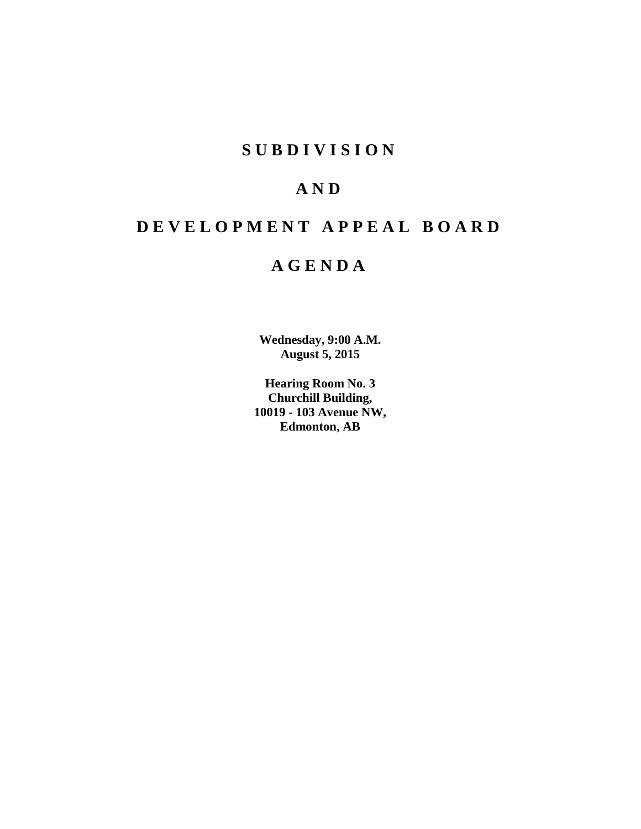## **S U B D I V I S I O N**

## **A N D**

## **D E V E L O P M E N T A P P E A L B O A R D**

## **A G E N D A**

**Wednesday, 9:00 A.M. August 5, 2015**

**Hearing Room No. 3 Churchill Building, 10019 - 103 Avenue NW, Edmonton, AB**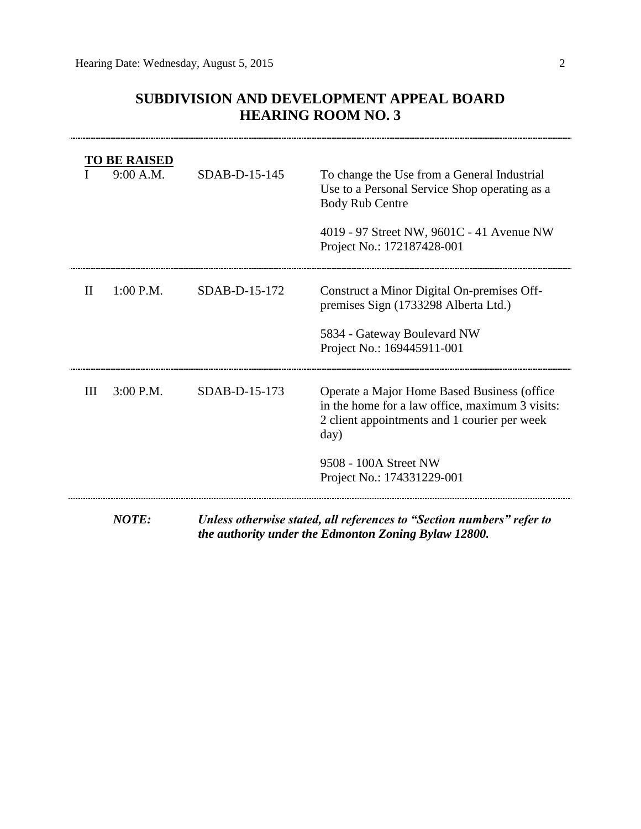### **SUBDIVISION AND DEVELOPMENT APPEAL BOARD HEARING ROOM NO. 3**

|              | <b>TO BE RAISED</b><br>9:00 A.M. | $SDAB-D-15-145$ | To change the Use from a General Industrial<br>Use to a Personal Service Shop operating as a<br><b>Body Rub Centre</b><br>4019 - 97 Street NW, 9601C - 41 Avenue NW<br>Project No.: 172187428-001             |
|--------------|----------------------------------|-----------------|---------------------------------------------------------------------------------------------------------------------------------------------------------------------------------------------------------------|
| $\mathbf{I}$ | 1:00 P.M.                        | $SDAB-D-15-172$ | Construct a Minor Digital On-premises Off-<br>premises Sign (1733298 Alberta Ltd.)<br>5834 - Gateway Boulevard NW<br>Project No.: 169445911-001                                                               |
| III          | 3:00 P.M.                        | SDAB-D-15-173   | Operate a Major Home Based Business (office<br>in the home for a law office, maximum 3 visits:<br>2 client appointments and 1 courier per week<br>day)<br>9508 - 100A Street NW<br>Project No.: 174331229-001 |
|              | <b>NOTE:</b>                     |                 | Unless otherwise stated, all references to "Section numbers" refer to                                                                                                                                         |

*the authority under the Edmonton Zoning Bylaw 12800.*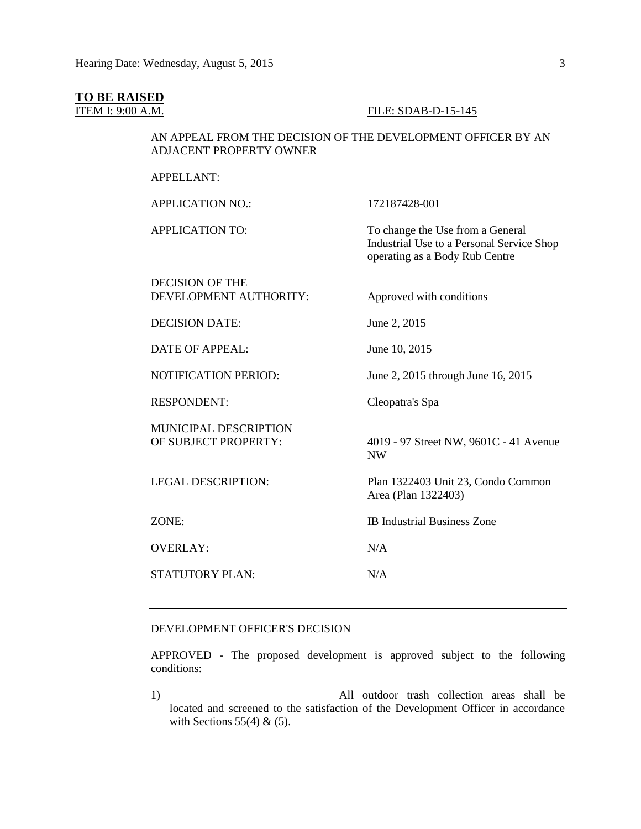#### **TO BE RAISED**

#### **ITEM I: 9:00 A.M. FILE: SDAB-D-15-145**

#### AN APPEAL FROM THE DECISION OF THE DEVELOPMENT OFFICER BY AN ADJACENT PROPERTY OWNER

APPELLANT:

APPLICATION NO.: 172187428-001 APPLICATION TO: To change the Use from a General Industrial Use to a Personal Service Shop operating as a Body Rub Centre DECISION OF THE DEVELOPMENT AUTHORITY: Approved with conditions DECISION DATE: June 2, 2015 DATE OF APPEAL: June 10, 2015 NOTIFICATION PERIOD: June 2, 2015 through June 16, 2015 RESPONDENT: Cleopatra's Spa MUNICIPAL DESCRIPTION OF SUBJECT PROPERTY: 4019 - 97 Street NW, 9601C - 41 Avenue NW LEGAL DESCRIPTION: Plan 1322403 Unit 23, Condo Common Area (Plan 1322403) ZONE: IB Industrial Business Zone OVERLAY: N/A STATUTORY PLAN: N/A

#### DEVELOPMENT OFFICER'S DECISION

APPROVED - The proposed development is approved subject to the following conditions:

1) All outdoor trash collection areas shall be located and screened to the satisfaction of the Development Officer in accordance with Sections  $55(4)$  &  $(5)$ .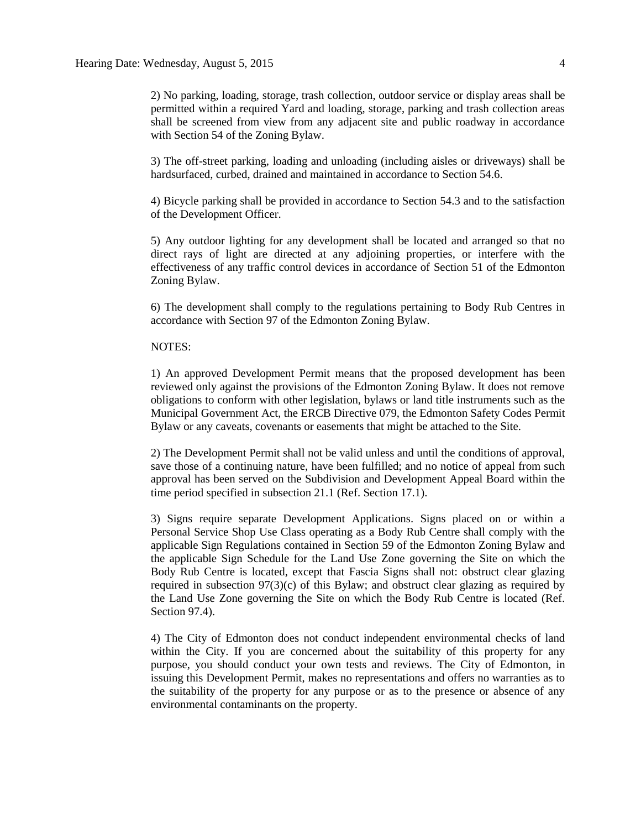2) No parking, loading, storage, trash collection, outdoor service or display areas shall be permitted within a required Yard and loading, storage, parking and trash collection areas shall be screened from view from any adjacent site and public roadway in accordance with Section 54 of the Zoning Bylaw.

3) The off-street parking, loading and unloading (including aisles or driveways) shall be hardsurfaced, curbed, drained and maintained in accordance to Section 54.6.

4) Bicycle parking shall be provided in accordance to Section 54.3 and to the satisfaction of the Development Officer.

5) Any outdoor lighting for any development shall be located and arranged so that no direct rays of light are directed at any adjoining properties, or interfere with the effectiveness of any traffic control devices in accordance of Section 51 of the Edmonton Zoning Bylaw.

6) The development shall comply to the regulations pertaining to Body Rub Centres in accordance with Section 97 of the Edmonton Zoning Bylaw.

#### NOTES:

1) An approved Development Permit means that the proposed development has been reviewed only against the provisions of the Edmonton Zoning Bylaw. It does not remove obligations to conform with other legislation, bylaws or land title instruments such as the Municipal Government Act, the ERCB Directive 079, the Edmonton Safety Codes Permit Bylaw or any caveats, covenants or easements that might be attached to the Site.

2) The Development Permit shall not be valid unless and until the conditions of approval, save those of a continuing nature, have been fulfilled; and no notice of appeal from such approval has been served on the Subdivision and Development Appeal Board within the time period specified in subsection 21.1 (Ref. Section 17.1).

3) Signs require separate Development Applications. Signs placed on or within a Personal Service Shop Use Class operating as a Body Rub Centre shall comply with the applicable Sign Regulations contained in Section 59 of the Edmonton Zoning Bylaw and the applicable Sign Schedule for the Land Use Zone governing the Site on which the Body Rub Centre is located, except that Fascia Signs shall not: obstruct clear glazing required in subsection  $97(3)(c)$  of this Bylaw; and obstruct clear glazing as required by the Land Use Zone governing the Site on which the Body Rub Centre is located (Ref. Section 97.4).

4) The City of Edmonton does not conduct independent environmental checks of land within the City. If you are concerned about the suitability of this property for any purpose, you should conduct your own tests and reviews. The City of Edmonton, in issuing this Development Permit, makes no representations and offers no warranties as to the suitability of the property for any purpose or as to the presence or absence of any environmental contaminants on the property.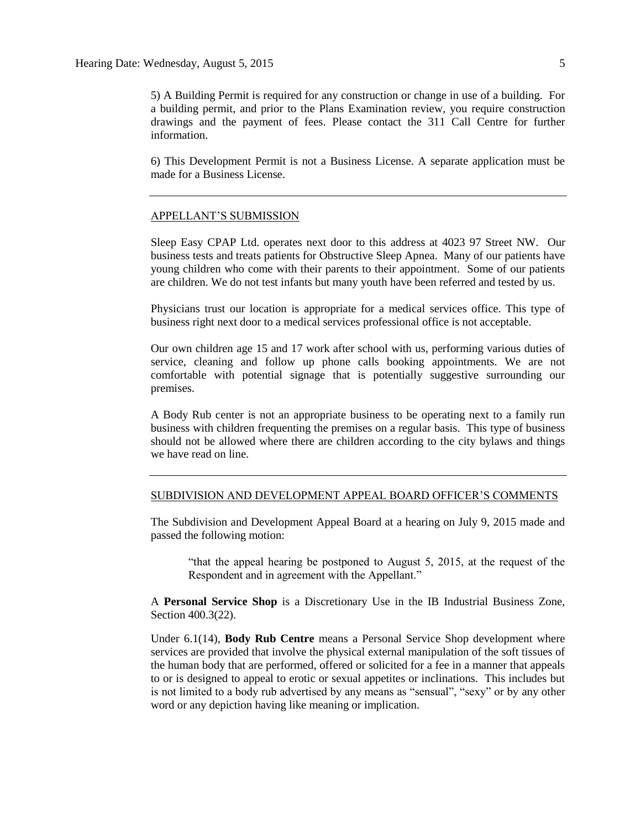5) A Building Permit is required for any construction or change in use of a building. For a building permit, and prior to the Plans Examination review, you require construction drawings and the payment of fees. Please contact the 311 Call Centre for further information.

6) This Development Permit is not a Business License. A separate application must be made for a Business License.

#### APPELLANT'S SUBMISSION

Sleep Easy CPAP Ltd. operates next door to this address at 4023 97 Street NW. Our business tests and treats patients for Obstructive Sleep Apnea. Many of our patients have young children who come with their parents to their appointment. Some of our patients are children. We do not test infants but many youth have been referred and tested by us.

Physicians trust our location is appropriate for a medical services office. This type of business right next door to a medical services professional office is not acceptable.

Our own children age 15 and 17 work after school with us, performing various duties of service, cleaning and follow up phone calls booking appointments. We are not comfortable with potential signage that is potentially suggestive surrounding our premises.

A Body Rub center is not an appropriate business to be operating next to a family run business with children frequenting the premises on a regular basis. This type of business should not be allowed where there are children according to the city bylaws and things we have read on line.

#### SUBDIVISION AND DEVELOPMENT APPEAL BOARD OFFICER'S COMMENTS

The Subdivision and Development Appeal Board at a hearing on July 9, 2015 made and passed the following motion:

"that the appeal hearing be postponed to August 5, 2015, at the request of the Respondent and in agreement with the Appellant."

A **Personal Service Shop** is a Discretionary Use in the IB Industrial Business Zone, Section 400.3(22).

Under 6.1(14), **Body Rub Centre** means a Personal Service Shop development where services are provided that involve the physical external manipulation of the soft tissues of the human body that are performed, offered or solicited for a fee in a manner that appeals to or is designed to appeal to erotic or sexual appetites or inclinations. This includes but is not limited to a body rub advertised by any means as "sensual", "sexy" or by any other word or any depiction having like meaning or implication.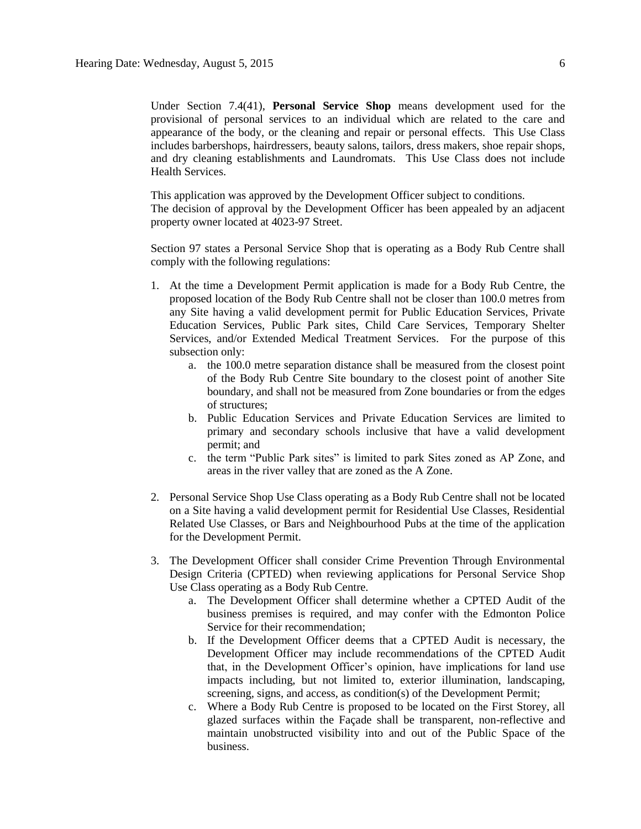Under Section 7.4(41), **Personal Service Shop** means development used for the provisional of personal services to an individual which are related to the care and appearance of the body, or the cleaning and repair or personal effects. This Use Class includes barbershops, hairdressers, beauty salons, tailors, dress makers, shoe repair shops, and dry cleaning establishments and Laundromats. This Use Class does not include Health Services.

This application was approved by the Development Officer subject to conditions. The decision of approval by the Development Officer has been appealed by an adjacent property owner located at 4023-97 Street.

Section 97 states a Personal Service Shop that is operating as a Body Rub Centre shall comply with the following regulations:

- 1. At the time a Development Permit application is made for a Body Rub Centre, the proposed location of the Body Rub Centre shall not be closer than 100.0 metres from any Site having a valid development permit for Public Education Services, Private Education Services, Public Park sites, Child Care Services, Temporary Shelter Services, and/or Extended Medical Treatment Services. For the purpose of this subsection only:
	- a. the 100.0 metre separation distance shall be measured from the closest point of the Body Rub Centre Site boundary to the closest point of another Site boundary, and shall not be measured from Zone boundaries or from the edges of structures;
	- b. Public Education Services and Private Education Services are limited to primary and secondary schools inclusive that have a valid development permit; and
	- c. the term "Public Park sites" is limited to park Sites zoned as AP Zone, and areas in the river valley that are zoned as the A Zone.
- 2. Personal Service Shop Use Class operating as a Body Rub Centre shall not be located on a Site having a valid development permit for Residential Use Classes, Residential Related Use Classes, or Bars and Neighbourhood Pubs at the time of the application for the Development Permit.
- 3. The Development Officer shall consider Crime Prevention Through Environmental Design Criteria (CPTED) when reviewing applications for Personal Service Shop Use Class operating as a Body Rub Centre.
	- a. The Development Officer shall determine whether a CPTED Audit of the business premises is required, and may confer with the Edmonton Police Service for their recommendation;
	- b. If the Development Officer deems that a CPTED Audit is necessary, the Development Officer may include recommendations of the CPTED Audit that, in the Development Officer's opinion, have implications for land use impacts including, but not limited to, exterior illumination, landscaping, screening, signs, and access, as condition(s) of the Development Permit;
	- c. Where a Body Rub Centre is proposed to be located on the First Storey, all glazed surfaces within the Façade shall be transparent, non-reflective and maintain unobstructed visibility into and out of the Public Space of the business.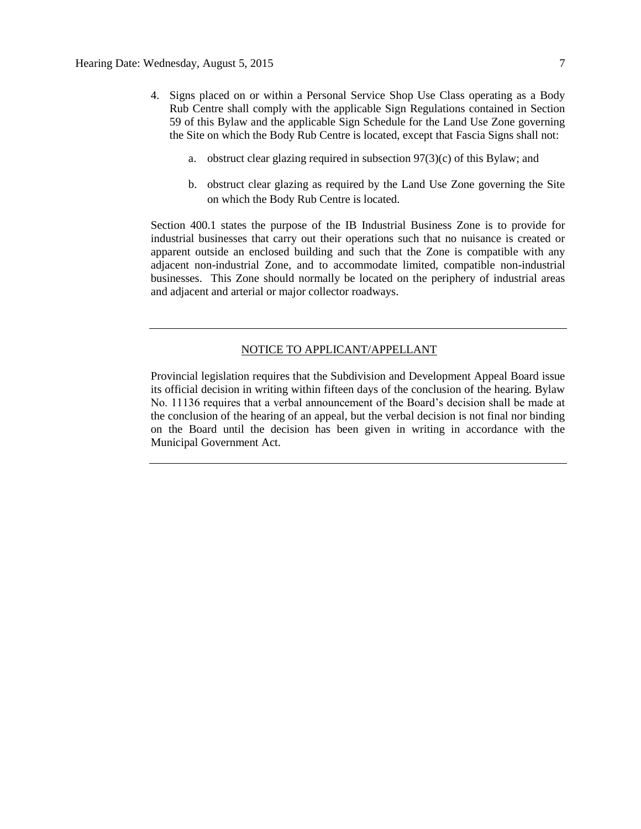- 4. Signs placed on or within a Personal Service Shop Use Class operating as a Body Rub Centre shall comply with the applicable Sign Regulations contained in Section 59 of this Bylaw and the applicable Sign Schedule for the Land Use Zone governing the Site on which the Body Rub Centre is located, except that Fascia Signs shall not:
	- a. obstruct clear glazing required in subsection 97(3)(c) of this Bylaw; and
	- b. obstruct clear glazing as required by the Land Use Zone governing the Site on which the Body Rub Centre is located.

Section 400.1 states the purpose of the IB Industrial Business Zone is to provide for industrial businesses that carry out their operations such that no nuisance is created or apparent outside an enclosed building and such that the Zone is compatible with any adjacent non-industrial Zone, and to accommodate limited, compatible non-industrial businesses. This Zone should normally be located on the periphery of industrial areas and adjacent and arterial or major collector roadways.

#### NOTICE TO APPLICANT/APPELLANT

Provincial legislation requires that the Subdivision and Development Appeal Board issue its official decision in writing within fifteen days of the conclusion of the hearing. Bylaw No. 11136 requires that a verbal announcement of the Board's decision shall be made at the conclusion of the hearing of an appeal, but the verbal decision is not final nor binding on the Board until the decision has been given in writing in accordance with the Municipal Government Act.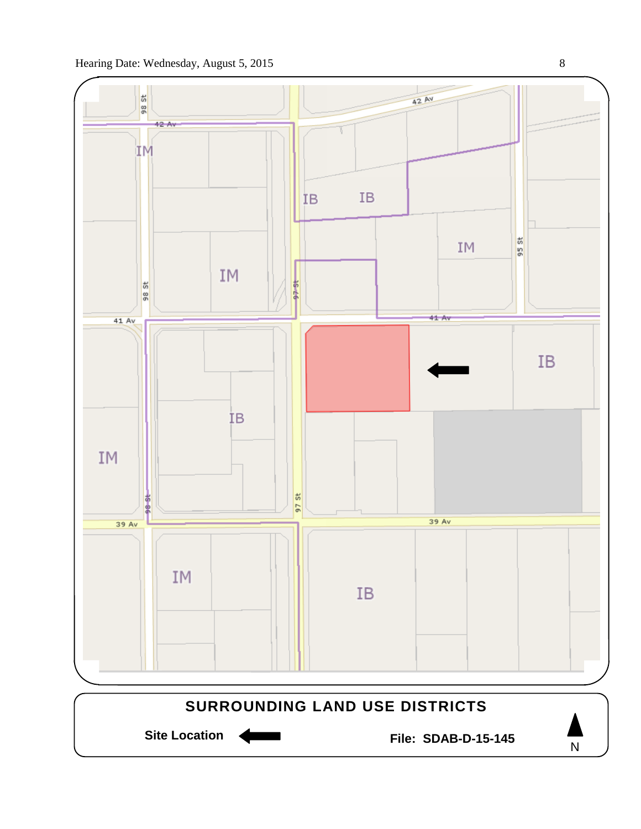

Site Location **Communist Contract Contract Contract Contract Contract Contract Contract Contract Contract Contract Contract Contract Contract Contract Contract Contract Contract Contract Contract Contract Contract Contract** 

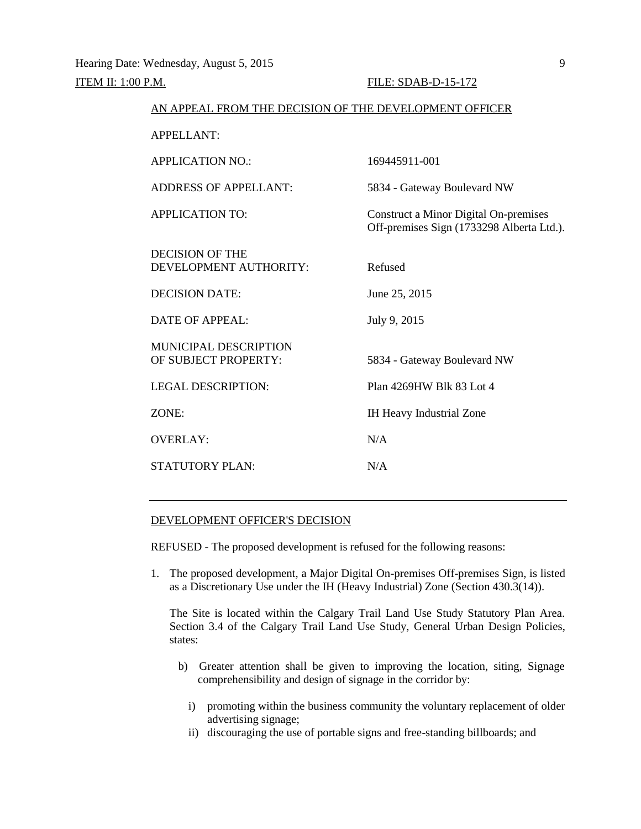#### ITEM II: 1:00 P.M. FILE: SDAB-D-15-172

| AN APPEAL FROM THE DECISION OF THE DEVELOPMENT OFFICER |                                                                                           |  |  |  |
|--------------------------------------------------------|-------------------------------------------------------------------------------------------|--|--|--|
| <b>APPELLANT:</b>                                      |                                                                                           |  |  |  |
| <b>APPLICATION NO.:</b>                                | 169445911-001                                                                             |  |  |  |
| <b>ADDRESS OF APPELLANT:</b>                           | 5834 - Gateway Boulevard NW                                                               |  |  |  |
| <b>APPLICATION TO:</b>                                 | <b>Construct a Minor Digital On-premises</b><br>Off-premises Sign (1733298 Alberta Ltd.). |  |  |  |
| DECISION OF THE<br>DEVELOPMENT AUTHORITY:              | Refused                                                                                   |  |  |  |
| <b>DECISION DATE:</b>                                  | June 25, 2015                                                                             |  |  |  |
| <b>DATE OF APPEAL:</b>                                 | July 9, 2015                                                                              |  |  |  |
| <b>MUNICIPAL DESCRIPTION</b><br>OF SUBJECT PROPERTY:   | 5834 - Gateway Boulevard NW                                                               |  |  |  |
| <b>LEGAL DESCRIPTION:</b>                              | Plan 4269HW Blk 83 Lot 4                                                                  |  |  |  |
| ZONE:                                                  | IH Heavy Industrial Zone                                                                  |  |  |  |
| <b>OVERLAY:</b>                                        | N/A                                                                                       |  |  |  |
| <b>STATUTORY PLAN:</b>                                 | N/A                                                                                       |  |  |  |
|                                                        |                                                                                           |  |  |  |

#### DEVELOPMENT OFFICER'S DECISION

REFUSED - The proposed development is refused for the following reasons:

1. The proposed development, a Major Digital On-premises Off-premises Sign, is listed as a Discretionary Use under the IH (Heavy Industrial) Zone (Section 430.3(14)).

The Site is located within the Calgary Trail Land Use Study Statutory Plan Area. Section 3.4 of the Calgary Trail Land Use Study, General Urban Design Policies, states:

- b) Greater attention shall be given to improving the location, siting, Signage comprehensibility and design of signage in the corridor by:
	- i) promoting within the business community the voluntary replacement of older advertising signage;
	- ii) discouraging the use of portable signs and free-standing billboards; and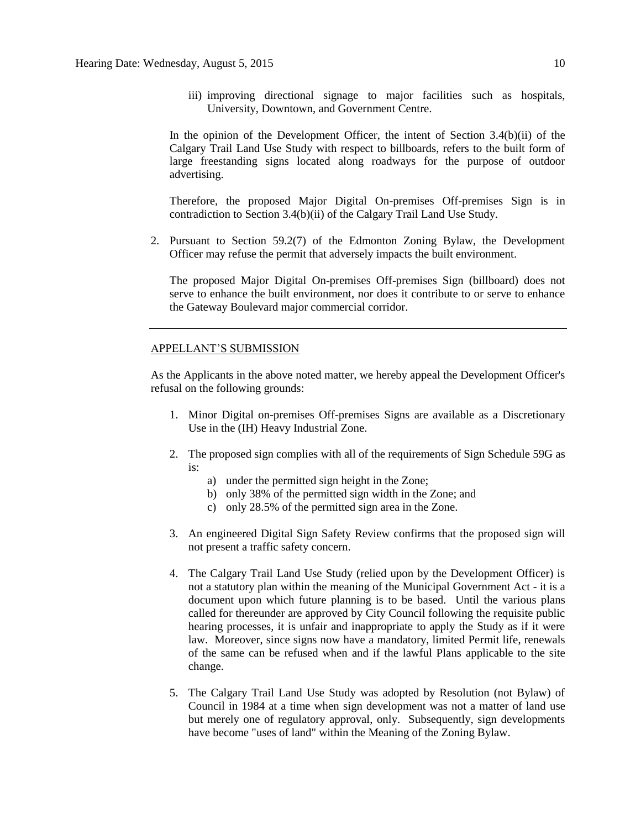iii) improving directional signage to major facilities such as hospitals, University, Downtown, and Government Centre.

In the opinion of the Development Officer, the intent of Section 3.4(b)(ii) of the Calgary Trail Land Use Study with respect to billboards, refers to the built form of large freestanding signs located along roadways for the purpose of outdoor advertising.

Therefore, the proposed Major Digital On-premises Off-premises Sign is in contradiction to Section 3.4(b)(ii) of the Calgary Trail Land Use Study.

2. Pursuant to Section 59.2(7) of the Edmonton Zoning Bylaw, the Development Officer may refuse the permit that adversely impacts the built environment.

The proposed Major Digital On-premises Off-premises Sign (billboard) does not serve to enhance the built environment, nor does it contribute to or serve to enhance the Gateway Boulevard major commercial corridor.

#### APPELLANT'S SUBMISSION

As the Applicants in the above noted matter, we hereby appeal the Development Officer's refusal on the following grounds:

- 1. Minor Digital on-premises Off-premises Signs are available as a Discretionary Use in the (IH) Heavy Industrial Zone.
- 2. The proposed sign complies with all of the requirements of Sign Schedule 59G as is:
	- a) under the permitted sign height in the Zone;
	- b) only 38% of the permitted sign width in the Zone; and
	- c) only 28.5% of the permitted sign area in the Zone.
- 3. An engineered Digital Sign Safety Review confirms that the proposed sign will not present a traffic safety concern.
- 4. The Calgary Trail Land Use Study (relied upon by the Development Officer) is not a statutory plan within the meaning of the Municipal Government Act - it is a document upon which future planning is to be based. Until the various plans called for thereunder are approved by City Council following the requisite public hearing processes, it is unfair and inappropriate to apply the Study as if it were law. Moreover, since signs now have a mandatory, limited Permit life, renewals of the same can be refused when and if the lawful Plans applicable to the site change.
- 5. The Calgary Trail Land Use Study was adopted by Resolution (not Bylaw) of Council in 1984 at a time when sign development was not a matter of land use but merely one of regulatory approval, only. Subsequently, sign developments have become "uses of land" within the Meaning of the Zoning Bylaw.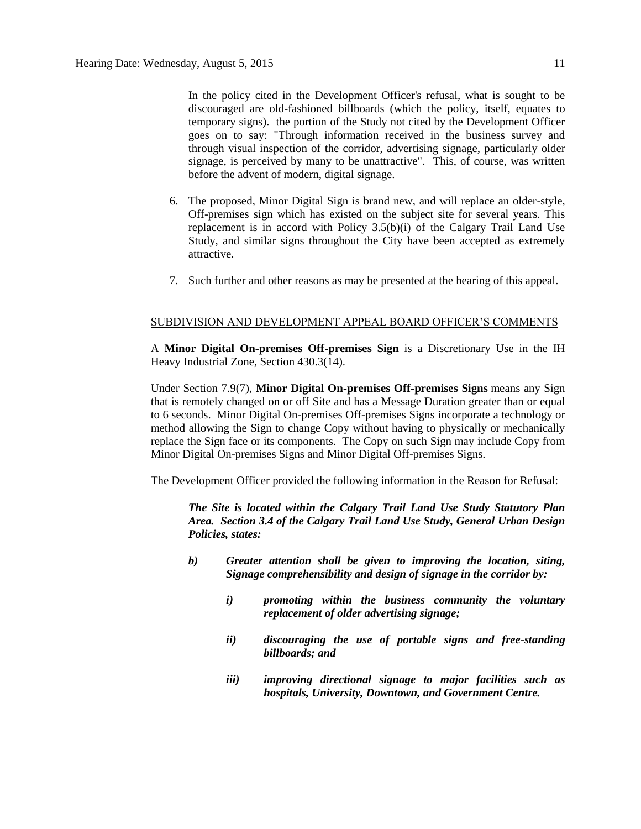In the policy cited in the Development Officer's refusal, what is sought to be discouraged are old-fashioned billboards (which the policy, itself, equates to temporary signs). the portion of the Study not cited by the Development Officer goes on to say: "Through information received in the business survey and through visual inspection of the corridor, advertising signage, particularly older signage, is perceived by many to be unattractive". This, of course, was written before the advent of modern, digital signage.

- 6. The proposed, Minor Digital Sign is brand new, and will replace an older-style, Off-premises sign which has existed on the subject site for several years. This replacement is in accord with Policy 3.5(b)(i) of the Calgary Trail Land Use Study, and similar signs throughout the City have been accepted as extremely attractive.
- 7. Such further and other reasons as may be presented at the hearing of this appeal.

#### SUBDIVISION AND DEVELOPMENT APPEAL BOARD OFFICER'S COMMENTS

A **Minor Digital On-premises Off-premises Sign** is a Discretionary Use in the IH Heavy Industrial Zone, Section 430.3(14).

Under Section 7.9(7), **Minor Digital On-premises Off-premises Signs** means any Sign that is remotely changed on or off Site and has a Message Duration greater than or equal to 6 seconds. Minor Digital On-premises Off-premises Signs incorporate a technology or method allowing the Sign to change Copy without having to physically or mechanically replace the Sign face or its components. The Copy on such Sign may include Copy from Minor Digital On-premises Signs and Minor Digital Off-premises Signs.

The Development Officer provided the following information in the Reason for Refusal:

*The Site is located within the Calgary Trail Land Use Study Statutory Plan Area. Section 3.4 of the Calgary Trail Land Use Study, General Urban Design Policies, states:*

- *b) Greater attention shall be given to improving the location, siting, Signage comprehensibility and design of signage in the corridor by:*
	- *i) promoting within the business community the voluntary replacement of older advertising signage;*
	- *ii) discouraging the use of portable signs and free-standing billboards; and*
	- *iii) improving directional signage to major facilities such as hospitals, University, Downtown, and Government Centre.*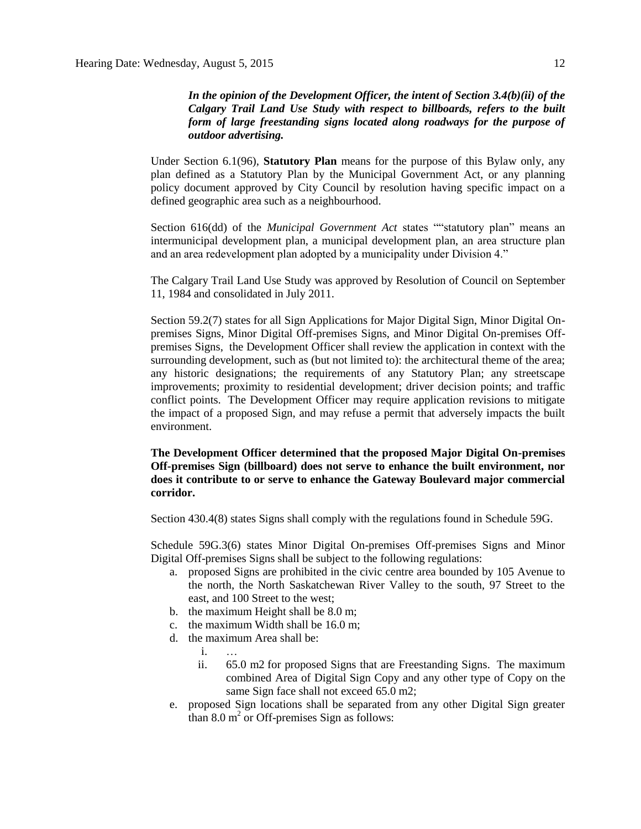*In the opinion of the Development Officer, the intent of Section 3.4(b)(ii) of the Calgary Trail Land Use Study with respect to billboards, refers to the built form of large freestanding signs located along roadways for the purpose of outdoor advertising.*

Under Section 6.1(96), **Statutory Plan** means for the purpose of this Bylaw only, any plan defined as a Statutory Plan by the Municipal Government Act, or any planning policy document approved by City Council by resolution having specific impact on a defined geographic area such as a neighbourhood.

Section 616(dd) of the *Municipal Government Act* states ""statutory plan" means an intermunicipal development plan, a municipal development plan, an area structure plan and an area redevelopment plan adopted by a municipality under Division 4."

The Calgary Trail Land Use Study was approved by Resolution of Council on September 11, 1984 and consolidated in July 2011.

Section 59.2(7) states for all Sign Applications for Major Digital Sign, Minor Digital Onpremises Signs, Minor Digital Off-premises Signs, and Minor Digital On-premises Offpremises Signs, the Development Officer shall review the application in context with the surrounding development, such as (but not limited to): the architectural theme of the area; any historic designations; the requirements of any Statutory Plan; any streetscape improvements; proximity to residential development; driver decision points; and traffic conflict points. The Development Officer may require application revisions to mitigate the impact of a proposed Sign, and may refuse a permit that adversely impacts the built environment.

**The Development Officer determined that the proposed Major Digital On-premises Off-premises Sign (billboard) does not serve to enhance the built environment, nor does it contribute to or serve to enhance the Gateway Boulevard major commercial corridor.**

Section 430.4(8) states Signs shall comply with the regulations found in Schedule 59G.

Schedule 59G.3(6) states Minor Digital On-premises Off-premises Signs and Minor Digital Off-premises Signs shall be subject to the following regulations:

- a. proposed Signs are prohibited in the civic centre area bounded by 105 Avenue to the north, the North Saskatchewan River Valley to the south, 97 Street to the east, and 100 Street to the west;
- b. the maximum Height shall be [8.0 m;](javascript:void(0);)
- c. the maximum Width shall be [16.0 m;](javascript:void(0);)
- d. the maximum Area shall be:
	- i. …
	- ii. [65.0 m2](javascript:void(0);) for proposed Signs that are Freestanding Signs. The maximum combined Area of Digital Sign Copy and any other type of Copy on the same Sign face shall not exceed [65.0 m2;](javascript:void(0);)
- e. proposed Sign locations shall be separated from any other Digital Sign greater than  $8.0 \text{ m}^2$  or Off-premises Sign as follows: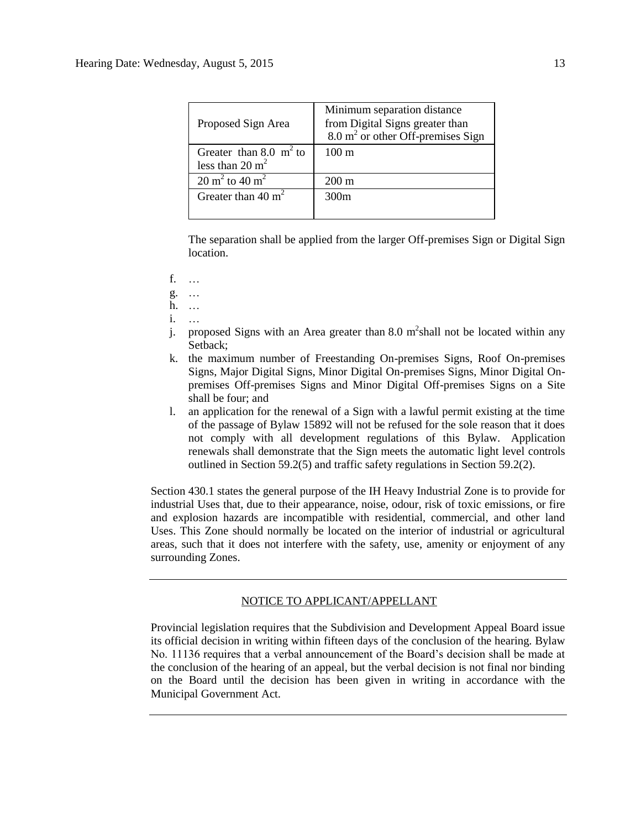| Proposed Sign Area                                     | Minimum separation distance<br>from Digital Signs greater than<br>$8.0 \text{ m}^2$ or other Off-premises Sign |
|--------------------------------------------------------|----------------------------------------------------------------------------------------------------------------|
| Greater than 8.0 $m2$ to<br>less than $20 \text{ m}^2$ | $100 \text{ m}$                                                                                                |
| $20 \text{ m}^2$ to $40 \text{ m}^2$                   | $200 \text{ m}$                                                                                                |
| Greater than $40 \text{ m}^2$                          | 300m                                                                                                           |

The separation shall be applied from the larger Off-premises Sign or Digital Sign location.

- f. …
- g. …
- h. …
- i. …
- j. proposed Signs with an Area greater than 8.0  $m^2$ shall not be located within any Setback;
- k. the maximum number of Freestanding On-premises Signs, Roof On-premises Signs, Major Digital Signs, Minor Digital On-premises Signs, Minor Digital Onpremises Off-premises Signs and Minor Digital Off-premises Signs on a Site shall be four; and
- l. an application for the renewal of a Sign with a lawful permit existing at the time of the passage of Bylaw 15892 will not be refused for the sole reason that it does not comply with all development regulations of this Bylaw. Application renewals shall demonstrate that the Sign meets the automatic light level controls outlined in Section 59.2(5) and traffic safety regulations in Section 59.2(2).

Section 430.1 states the general purpose of the IH Heavy Industrial Zone is to provide for industrial Uses that, due to their appearance, noise, odour, risk of toxic emissions, or fire and explosion hazards are incompatible with residential, commercial, and other land Uses. This Zone should normally be located on the interior of industrial or agricultural areas, such that it does not interfere with the safety, use, amenity or enjoyment of any surrounding Zones.

### NOTICE TO APPLICANT/APPELLANT

Provincial legislation requires that the Subdivision and Development Appeal Board issue its official decision in writing within fifteen days of the conclusion of the hearing. Bylaw No. 11136 requires that a verbal announcement of the Board's decision shall be made at the conclusion of the hearing of an appeal, but the verbal decision is not final nor binding on the Board until the decision has been given in writing in accordance with the Municipal Government Act.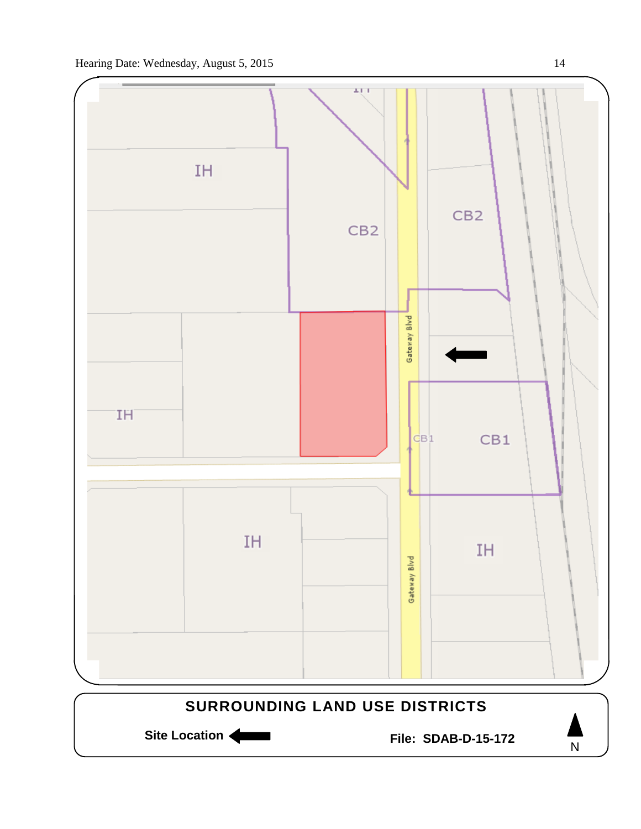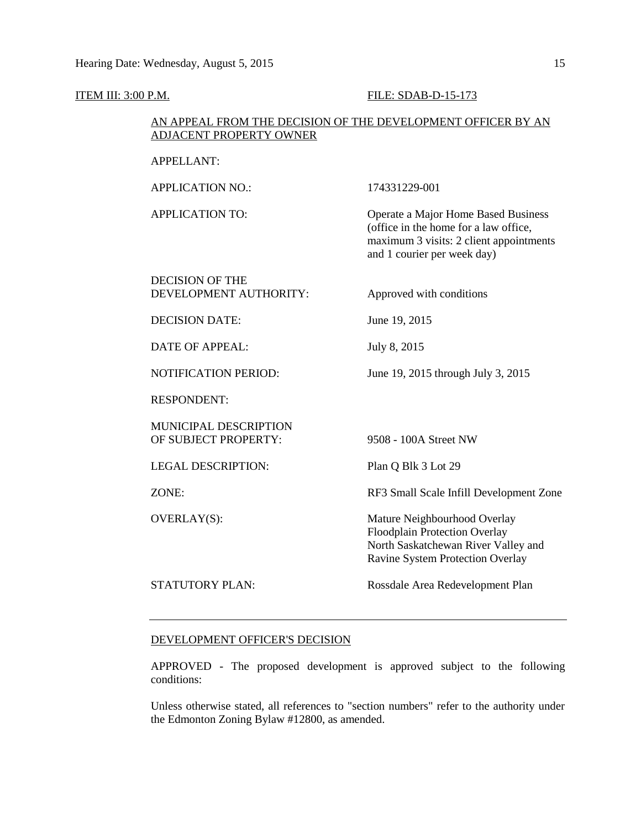## ITEM III: 3:00 P.M. **FILE: SDAB-D-15-173** AN APPEAL FROM THE DECISION OF THE DEVELOPMENT OFFICER BY AN ADJACENT PROPERTY OWNER APPELLANT: APPLICATION NO.: 174331229-001 APPLICATION TO: Operate a Major Home Based Business (office in the home for a law office, maximum 3 visits: 2 client appointments and 1 courier per week day) DECISION OF THE DEVELOPMENT AUTHORITY: Approved with conditions DECISION DATE: June 19, 2015 DATE OF APPEAL: July 8, 2015 NOTIFICATION PERIOD: June 19, 2015 through July 3, 2015 RESPONDENT: MUNICIPAL DESCRIPTION OF SUBJECT PROPERTY: 9508 - 100A Street NW LEGAL DESCRIPTION: Plan Q Blk 3 Lot 29 ZONE: RF3 Small Scale Infill Development Zone OVERLAY(S): Mature Neighbourhood Overlay Floodplain Protection Overlay North Saskatchewan River Valley and Ravine System Protection Overlay STATUTORY PLAN: Rossdale Area Redevelopment Plan

#### DEVELOPMENT OFFICER'S DECISION

APPROVED - The proposed development is approved subject to the following conditions:

Unless otherwise stated, all references to "section numbers" refer to the authority under the Edmonton Zoning Bylaw #12800, as amended.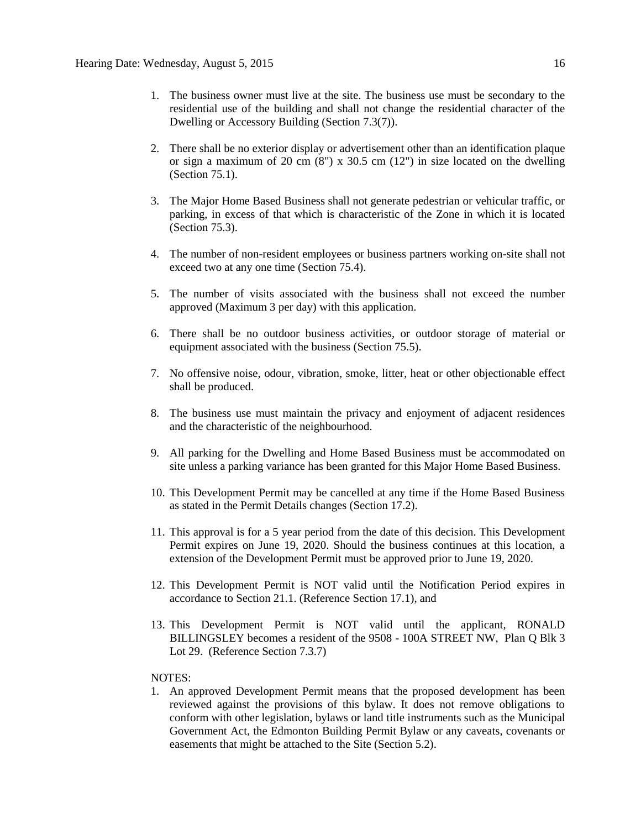- 1. The business owner must live at the site. The business use must be secondary to the residential use of the building and shall not change the residential character of the Dwelling or Accessory Building (Section 7.3(7)).
- 2. There shall be no exterior display or advertisement other than an identification plaque or sign a maximum of 20 cm  $(8")$  x 30.5 cm  $(12")$  in size located on the dwelling (Section 75.1).
- 3. The Major Home Based Business shall not generate pedestrian or vehicular traffic, or parking, in excess of that which is characteristic of the Zone in which it is located (Section 75.3).
- 4. The number of non-resident employees or business partners working on-site shall not exceed two at any one time (Section 75.4).
- 5. The number of visits associated with the business shall not exceed the number approved (Maximum 3 per day) with this application.
- 6. There shall be no outdoor business activities, or outdoor storage of material or equipment associated with the business (Section 75.5).
- 7. No offensive noise, odour, vibration, smoke, litter, heat or other objectionable effect shall be produced.
- 8. The business use must maintain the privacy and enjoyment of adjacent residences and the characteristic of the neighbourhood.
- 9. All parking for the Dwelling and Home Based Business must be accommodated on site unless a parking variance has been granted for this Major Home Based Business.
- 10. This Development Permit may be cancelled at any time if the Home Based Business as stated in the Permit Details changes (Section 17.2).
- 11. This approval is for a 5 year period from the date of this decision. This Development Permit expires on June 19, 2020. Should the business continues at this location, a extension of the Development Permit must be approved prior to June 19, 2020.
- 12. This Development Permit is NOT valid until the Notification Period expires in accordance to Section 21.1. (Reference Section 17.1), and
- 13. This Development Permit is NOT valid until the applicant, RONALD BILLINGSLEY becomes a resident of the 9508 - 100A STREET NW, Plan Q Blk 3 Lot 29. (Reference Section 7.3.7)

#### NOTES:

1. An approved Development Permit means that the proposed development has been reviewed against the provisions of this bylaw. It does not remove obligations to conform with other legislation, bylaws or land title instruments such as the Municipal Government Act, the Edmonton Building Permit Bylaw or any caveats, covenants or easements that might be attached to the Site (Section 5.2).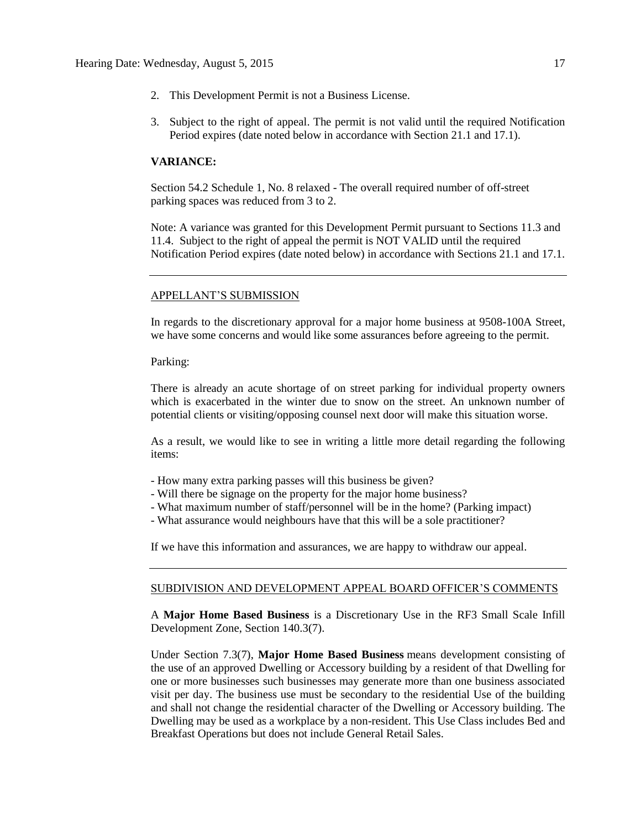- 2. This Development Permit is not a Business License.
- 3. Subject to the right of appeal. The permit is not valid until the required Notification Period expires (date noted below in accordance with Section 21.1 and 17.1).

#### **VARIANCE:**

Section 54.2 Schedule 1, No. 8 relaxed - The overall required number of off-street parking spaces was reduced from 3 to 2.

Note: A variance was granted for this Development Permit pursuant to Sections 11.3 and 11.4. Subject to the right of appeal the permit is NOT VALID until the required Notification Period expires (date noted below) in accordance with Sections 21.1 and 17.1.

#### APPELLANT'S SUBMISSION

In regards to the discretionary approval for a major home business at 9508-100A Street, we have some concerns and would like some assurances before agreeing to the permit.

Parking:

There is already an acute shortage of on street parking for individual property owners which is exacerbated in the winter due to snow on the street. An unknown number of potential clients or visiting/opposing counsel next door will make this situation worse.

As a result, we would like to see in writing a little more detail regarding the following items:

- How many extra parking passes will this business be given?
- Will there be signage on the property for the major home business?
- What maximum number of staff/personnel will be in the home? (Parking impact)
- What assurance would neighbours have that this will be a sole practitioner?

If we have this information and assurances, we are happy to withdraw our appeal.

#### SUBDIVISION AND DEVELOPMENT APPEAL BOARD OFFICER'S COMMENTS

A **Major Home Based Business** is a Discretionary Use in the RF3 Small Scale Infill Development Zone, Section 140.3(7).

Under Section 7.3(7), **Major Home Based Business** means development consisting of the use of an approved Dwelling or Accessory building by a resident of that Dwelling for one or more businesses such businesses may generate more than one business associated visit per day. The business use must be secondary to the residential Use of the building and shall not change the residential character of the Dwelling or Accessory building. The Dwelling may be used as a workplace by a non-resident. This Use Class includes Bed and Breakfast Operations but does not include General Retail Sales.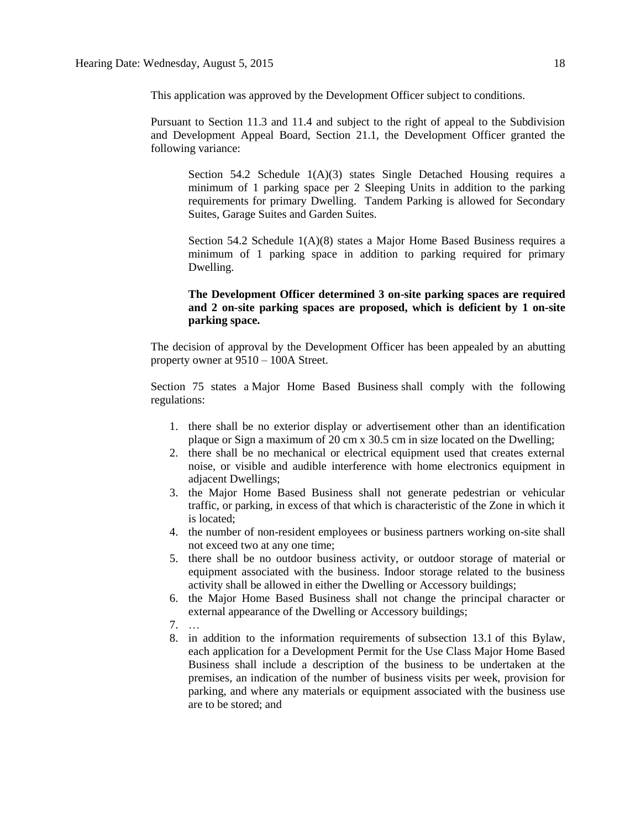This application was approved by the Development Officer subject to conditions.

Pursuant to Section 11.3 and 11.4 and subject to the right of appeal to the Subdivision and Development Appeal Board, Section 21.1, the Development Officer granted the following variance:

Section 54.2 Schedule 1(A)(3) states Single Detached Housing requires a minimum of 1 parking space per 2 Sleeping Units in addition to the parking requirements for primary Dwelling. Tandem Parking is allowed for Secondary Suites, Garage Suites and Garden Suites.

Section 54.2 Schedule 1(A)(8) states a Major Home Based Business requires a minimum of 1 parking space in addition to parking required for primary Dwelling.

#### **The Development Officer determined 3 on-site parking spaces are required and 2 on-site parking spaces are proposed, which is deficient by 1 on-site parking space.**

The decision of approval by the Development Officer has been appealed by an abutting property owner at 9510 – 100A Street.

Section 75 states a [Major Home Based Business](javascript:void(0);) shall comply with the following regulations:

- 1. there shall be no exterior display or advertisement other than an identification plaque or Sign a maximum of 20 [cm](javascript:void(0);) x [30.5](javascript:void(0);) cm in size located on the Dwelling;
- 2. there shall be no mechanical or electrical equipment used that creates external noise, or visible and audible interference with home electronics equipment in adjacent Dwellings;
- 3. the Major Home Based Business shall not generate pedestrian or vehicular traffic, or parking, in excess of that which is characteristic of the Zone in which it is located;
- 4. the number of non-resident employees or business partners working on-site shall not exceed two at any one time;
- 5. there shall be no outdoor business activity, or outdoor storage of material or equipment associated with the business. Indoor storage related to the business activity shall be allowed in either the Dwelling or Accessory buildings;
- 6. the Major Home Based Business shall not change the principal character or external appearance of the [Dwelling](javascript:void(0);) or [Accessory](javascript:void(0);) buildings;
- 7. …
- 8. in addition to the information requirements of [subsection 13.1](http://webdocs.edmonton.ca/zoningbylaw/ZoningBylaw/Part1/Administrative/13__Development_Application_Submissions.htm) of this Bylaw, each application for a Development Permit for the Use Class Major Home Based Business shall include a description of the business to be undertaken at the premises, an indication of the number of business visits per week, provision for parking, and where any materials or equipment associated with the business use are to be stored; and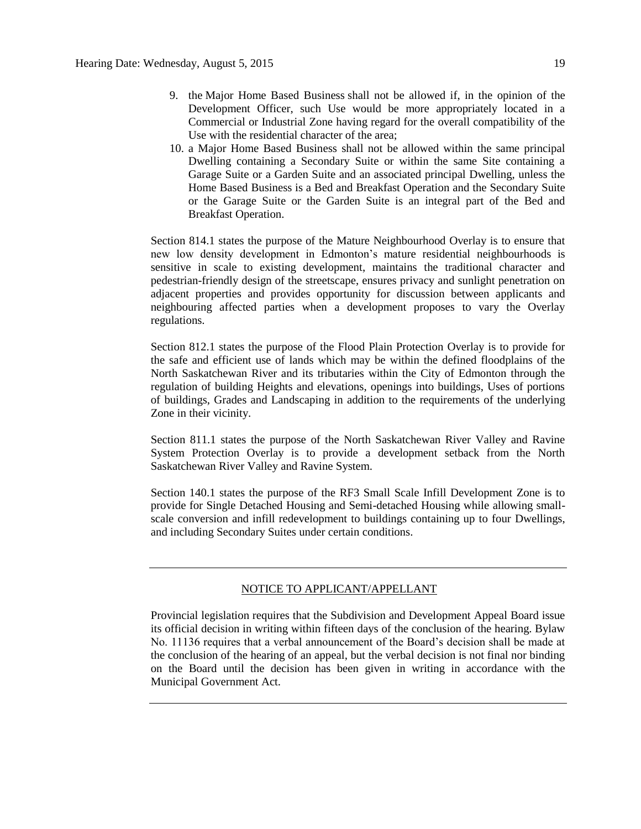- 9. the [Major Home Based Business](javascript:void(0);) shall not be allowed if, in the opinion of the Development Officer, such Use would be more appropriately located in a Commercial or Industrial Zone having regard for the overall compatibility of the Use with the residential character of the area;
- 10. a Major Home Based Business shall not be allowed within the same principal Dwelling containing a Secondary Suite or within the same Site containing a Garage Suite or a Garden Suite and an associated principal Dwelling, unless the Home Based Business is a Bed and Breakfast Operation and the Secondary Suite or the Garage Suite or the Garden Suite is an integral part of the Bed and Breakfast Operation.

Section 814.1 states the purpose of the Mature Neighbourhood Overlay is to ensure that new low density development in Edmonton's mature residential neighbourhoods is sensitive in scale to existing development, maintains the traditional character and pedestrian-friendly design of the streetscape, ensures privacy and sunlight penetration on adjacent properties and provides opportunity for discussion between applicants and neighbouring affected parties when a development proposes to vary the Overlay regulations.

Section 812.1 states the purpose of the Flood Plain Protection Overlay is to provide for the safe and efficient use of lands which may be within the defined floodplains of the North Saskatchewan River and its tributaries within the City of Edmonton through the regulation of building Heights and elevations, openings into buildings, Uses of portions of buildings, Grades and Landscaping in addition to the requirements of the underlying Zone in their vicinity.

Section 811.1 states the purpose of the North Saskatchewan River Valley and Ravine System Protection Overlay is to provide a development setback from the North Saskatchewan River Valley and Ravine System.

Section 140.1 states the purpose of the RF3 Small Scale Infill Development Zone is to provide for Single Detached Housing and Semi-detached Housing while allowing smallscale conversion and infill redevelopment to buildings containing up to four Dwellings, and including Secondary Suites under certain conditions.

#### NOTICE TO APPLICANT/APPELLANT

Provincial legislation requires that the Subdivision and Development Appeal Board issue its official decision in writing within fifteen days of the conclusion of the hearing. Bylaw No. 11136 requires that a verbal announcement of the Board's decision shall be made at the conclusion of the hearing of an appeal, but the verbal decision is not final nor binding on the Board until the decision has been given in writing in accordance with the Municipal Government Act.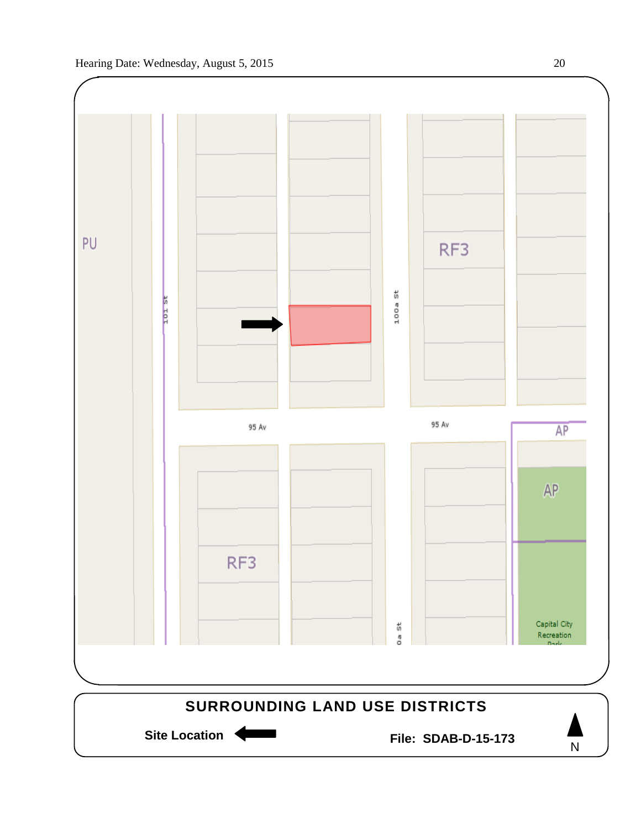

Site Location **Communist Contract Contract Contract Contract Contract Contract Contract Contract Contract Contract Contract Contract Contract Contract Contract Contract Contract Contract Contract Contract Contract Contract** 

N